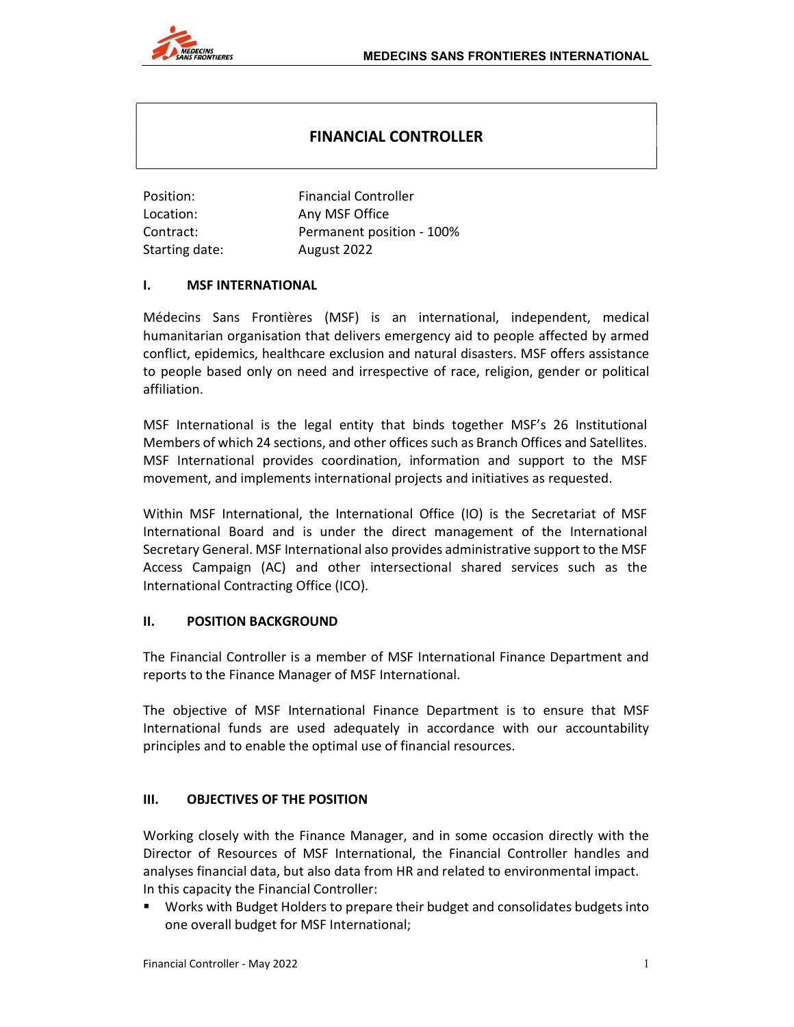# FINANCIAL CONTROLLER

| Position:      | <b>Financial Controller</b> |
|----------------|-----------------------------|
| Location:      | Any MSF Office              |
| Contract:      | Permanent position - 100%   |
| Starting date: | August 2022                 |

#### I. MSF INTERNATIONAL

Médecins Sans Frontières (MSF) is an international, independent, medical humanitarian organisation that delivers emergency aid to people affected by armed conflict, epidemics, healthcare exclusion and natural disasters. MSF offers assistance to people based only on need and irrespective of race, religion, gender or political affiliation.

MSF International is the legal entity that binds together MSF's 26 Institutional Members of which 24 sections, and other offices such as Branch Offices and Satellites. MSF International provides coordination, information and support to the MSF movement, and implements international projects and initiatives as requested.

Within MSF International, the International Office (IO) is the Secretariat of MSF International Board and is under the direct management of the International Secretary General. MSF International also provides administrative support to the MSF Access Campaign (AC) and other intersectional shared services such as the International Contracting Office (ICO).

#### II. POSITION BACKGROUND

The Financial Controller is a member of MSF International Finance Department and reports to the Finance Manager of MSF International.

The objective of MSF International Finance Department is to ensure that MSF International funds are used adequately in accordance with our accountability principles and to enable the optimal use of financial resources.

## III. OBJECTIVES OF THE POSITION

Working closely with the Finance Manager, and in some occasion directly with the Director of Resources of MSF International, the Financial Controller handles and analyses financial data, but also data from HR and related to environmental impact. In this capacity the Financial Controller:

 Works with Budget Holders to prepare their budget and consolidates budgets into one overall budget for MSF International;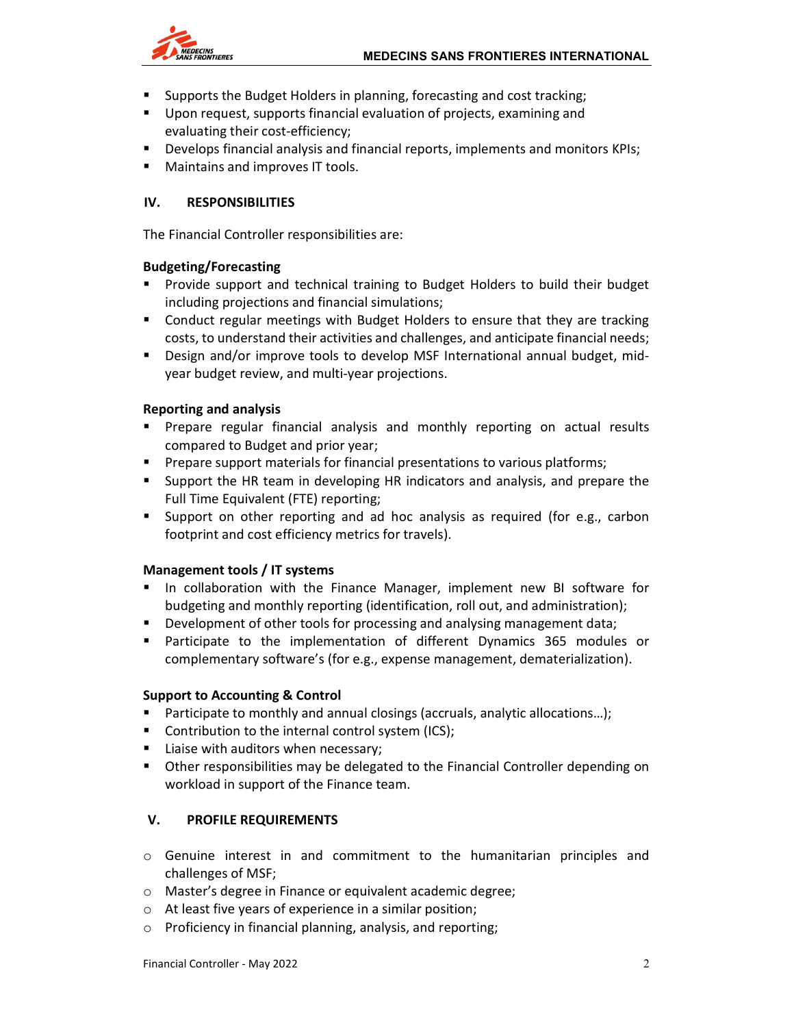

- Supports the Budget Holders in planning, forecasting and cost tracking;
- Upon request, supports financial evaluation of projects, examining and evaluating their cost-efficiency;
- **Develops financial analysis and financial reports, implements and monitors KPIs;**
- **Maintains and improves IT tools.**

# IV. RESPONSIBILITIES

The Financial Controller responsibilities are:

## Budgeting/Forecasting

- **Provide support and technical training to Budget Holders to build their budget** including projections and financial simulations;
- Conduct regular meetings with Budget Holders to ensure that they are tracking costs, to understand their activities and challenges, and anticipate financial needs;
- Design and/or improve tools to develop MSF International annual budget, midyear budget review, and multi-year projections.

#### Reporting and analysis

- Prepare regular financial analysis and monthly reporting on actual results compared to Budget and prior year;
- **Prepare support materials for financial presentations to various platforms;**
- Support the HR team in developing HR indicators and analysis, and prepare the Full Time Equivalent (FTE) reporting;
- Support on other reporting and ad hoc analysis as required (for e.g., carbon footprint and cost efficiency metrics for travels).

## Management tools / IT systems

- In collaboration with the Finance Manager, implement new BI software for budgeting and monthly reporting (identification, roll out, and administration);
- **Development of other tools for processing and analysing management data;**
- Participate to the implementation of different Dynamics 365 modules or complementary software's (for e.g., expense management, dematerialization).

#### Support to Accounting & Control

- Participate to monthly and annual closings (accruals, analytic allocations…);
- **Contribution to the internal control system (ICS);**
- Liaise with auditors when necessary;
- Other responsibilities may be delegated to the Financial Controller depending on workload in support of the Finance team.

## V. PROFILE REQUIREMENTS

- o Genuine interest in and commitment to the humanitarian principles and challenges of MSF;
- o Master's degree in Finance or equivalent academic degree;
- o At least five years of experience in a similar position;
- o Proficiency in financial planning, analysis, and reporting;